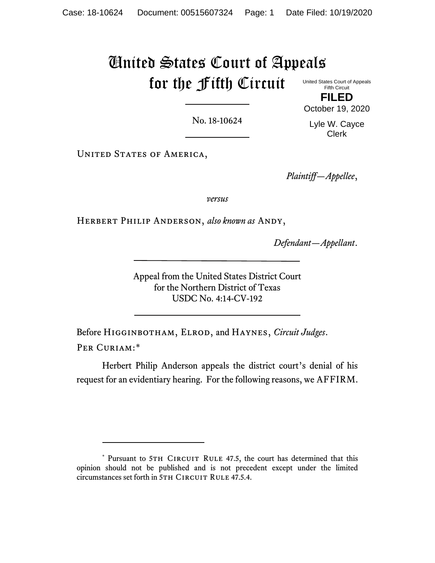# United States Court of Appeals for the Fifth Circuit

United States Court of Appeals Fifth Circuit **FILED**

No. 18-10624

Lyle W. Cayce Clerk

October 19, 2020

UNITED STATES OF AMERICA,

*Plaintiff—Appellee*,

*versus*

Herbert Philip Anderson, *also known as* Andy,

*Defendant—Appellant*.

Appeal from the United States District Court for the Northern District of Texas USDC No. 4:14-CV-192

Before Higginbotham, Elrod, and Haynes, *Circuit Judges*. PER CURIAM:[\\*](#page-0-0)

Herbert Philip Anderson appeals the district court's denial of his request for an evidentiary hearing. For the following reasons, we AFFIRM.

<span id="page-0-0"></span><sup>\*</sup> Pursuant to 5TH CIRCUIT RULE 47.5, the court has determined that this opinion should not be published and is not precedent except under the limited circumstances set forth in 5TH CIRCUIT RULE 47.5.4.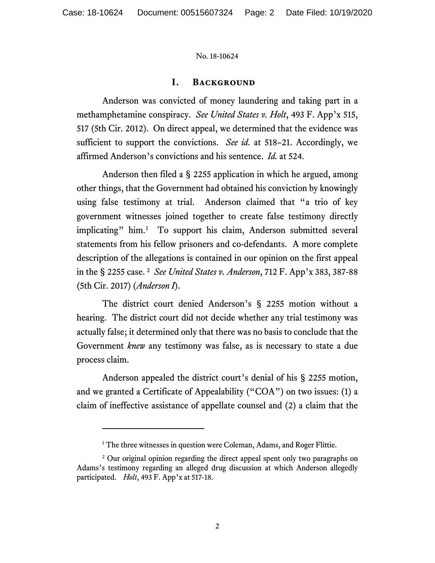## **I. Background**

Anderson was convicted of money laundering and taking part in a methamphetamine conspiracy. *See United States v. Holt*, 493 F. App'x 515, 517 (5th Cir. 2012). On direct appeal, we determined that the evidence was sufficient to support the convictions. *See id.* at 518–21. Accordingly, we affirmed Anderson's convictions and his sentence. *Id.* at 524.

Anderson then filed a § 2255 application in which he argued, among other things, that the Government had obtained his conviction by knowingly using false testimony at trial. Anderson claimed that "a trio of key government witnesses joined together to create false testimony directly implicating" him.<sup>[1](#page-1-0)</sup> To support his claim, Anderson submitted several statements from his fellow prisoners and co-defendants. A more complete description of the allegations is contained in our opinion on the first appeal in the § 2255 case. [2](#page-1-1) *See United States v. Anderson*, 712 F. App'x 383, 387-88 (5th Cir. 2017) (*Anderson I*).

The district court denied Anderson's § 2255 motion without a hearing. The district court did not decide whether any trial testimony was actually false; it determined only that there was no basis to conclude that the Government *knew* any testimony was false, as is necessary to state a due process claim.

Anderson appealed the district court's denial of his § 2255 motion, and we granted a Certificate of Appealability ("COA") on two issues: (1) a claim of ineffective assistance of appellate counsel and (2) a claim that the

<sup>&</sup>lt;sup>1</sup> The three witnesses in question were Coleman, Adams, and Roger Flittie.

<span id="page-1-1"></span><span id="page-1-0"></span><sup>&</sup>lt;sup>2</sup> Our original opinion regarding the direct appeal spent only two paragraphs on Adams's testimony regarding an alleged drug discussion at which Anderson allegedly participated. *Holt*, 493 F. App'x at 517-18.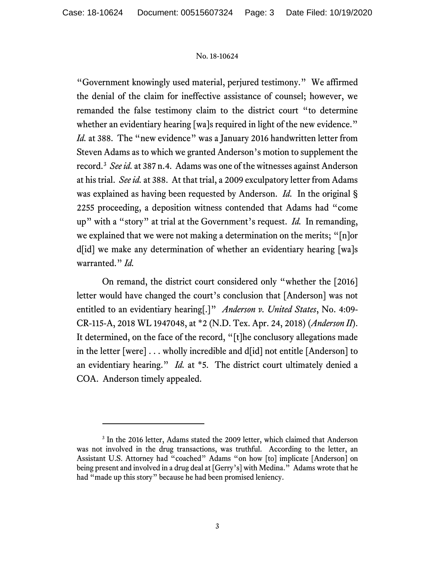"Government knowingly used material, perjured testimony." We affirmed the denial of the claim for ineffective assistance of counsel; however, we remanded the false testimony claim to the district court "to determine whether an evidentiary hearing [wa]s required in light of the new evidence." *Id.* at 388. The "new evidence" was a January 2016 handwritten letter from Steven Adams as to which we granted Anderson's motion to supplement the record.[3](#page-2-0) *See id.* at 387 n.4. Adams was one of the witnesses against Anderson at his trial. *See id.* at 388. At that trial, a 2009 exculpatory letter from Adams was explained as having been requested by Anderson. *Id.* In the original § 2255 proceeding, a deposition witness contended that Adams had "come up" with a "story" at trial at the Government's request. *Id.* In remanding, we explained that we were not making a determination on the merits; "[n]or d[id] we make any determination of whether an evidentiary hearing [wa]s warranted." *Id.*

On remand, the district court considered only "whether the [2016] letter would have changed the court's conclusion that [Anderson] was not entitled to an evidentiary hearing[.]" *Anderson v. United States*, No. 4:09- CR-115-A, 2018 WL 1947048, at \*2 (N.D. Tex. Apr. 24, 2018) (*Anderson II*). It determined, on the face of the record, "[t]he conclusory allegations made in the letter [were] . . . wholly incredible and d[id] not entitle [Anderson] to an evidentiary hearing." *Id.* at \*5. The district court ultimately denied a COA. Anderson timely appealed.

<span id="page-2-0"></span><sup>&</sup>lt;sup>3</sup> In the 2016 letter, Adams stated the 2009 letter, which claimed that Anderson was not involved in the drug transactions, was truthful. According to the letter, an Assistant U.S. Attorney had "coached" Adams "on how [to] implicate [Anderson] on being present and involved in a drug deal at [Gerry's] with Medina." Adams wrote that he had "made up this story" because he had been promised leniency.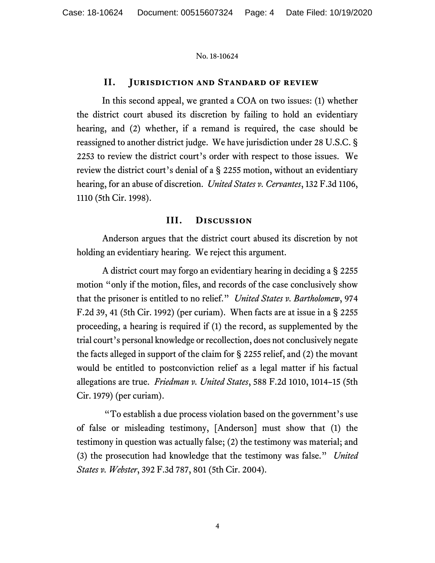# **II. Jurisdiction and Standard of review**

In this second appeal, we granted a COA on two issues: (1) whether the district court abused its discretion by failing to hold an evidentiary hearing, and (2) whether, if a remand is required, the case should be reassigned to another district judge. We have jurisdiction under 28 U.S.C. § 2253 to review the district court's order with respect to those issues. We review the district court's denial of a § 2255 motion, without an evidentiary hearing, for an abuse of discretion. *United States v. Cervantes*, 132 F.3d 1106, 1110 (5th Cir. 1998).

## **III. Discussion**

Anderson argues that the district court abused its discretion by not holding an evidentiary hearing. We reject this argument.

A district court may forgo an evidentiary hearing in deciding a § 2255 motion "only if the motion, files, and records of the case conclusively show that the prisoner is entitled to no relief." *United States v. Bartholomew*, 974 F.2d 39, 41 (5th Cir. 1992) (per curiam). When facts are at issue in a § 2255 proceeding, a hearing is required if (1) the record, as supplemented by the trial court's personal knowledge or recollection, does not conclusively negate the facts alleged in support of the claim for § 2255 relief, and (2) the movant would be entitled to postconviction relief as a legal matter if his factual allegations are true. *Friedman v. United States*, 588 F.2d 1010, 1014–15 (5th Cir. 1979) (per curiam).

"To establish a due process violation based on the government's use of false or misleading testimony, [Anderson] must show that (1) the testimony in question was actually false; (2) the testimony was material; and (3) the prosecution had knowledge that the testimony was false." *United States v. Webster*, 392 F.3d 787, 801 (5th Cir. 2004).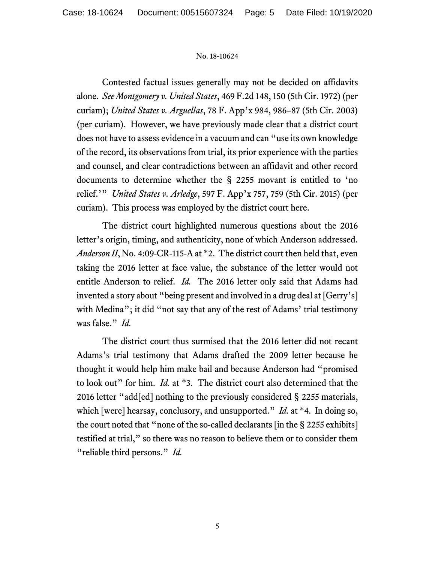Contested factual issues generally may not be decided on affidavits alone. *See Montgomery v. United States*, 469 F.2d 148, 150 (5th Cir. 1972) (per curiam); *United States v. Arguellas*, 78 F. App'x 984, 986–87 (5th Cir. 2003) (per curiam). However, we have previously made clear that a district court does not have to assess evidence in a vacuum and can "use its own knowledge of the record, its observations from trial, its prior experience with the parties and counsel, and clear contradictions between an affidavit and other record documents to determine whether the § 2255 movant is entitled to 'no relief.'" *United States v. Arledge*, 597 F. App'x 757, 759 (5th Cir. 2015) (per curiam). This process was employed by the district court here.

The district court highlighted numerous questions about the 2016 letter's origin, timing, and authenticity, none of which Anderson addressed. *Anderson II*, No. 4:09-CR-115-A at \*2. The district court then held that, even taking the 2016 letter at face value, the substance of the letter would not entitle Anderson to relief. *Id.* The 2016 letter only said that Adams had invented a story about "being present and involved in a drug deal at [Gerry's] with Medina"; it did "not say that any of the rest of Adams' trial testimony was false." *Id.*

The district court thus surmised that the 2016 letter did not recant Adams's trial testimony that Adams drafted the 2009 letter because he thought it would help him make bail and because Anderson had "promised to look out" for him. *Id.* at \*3. The district court also determined that the 2016 letter "add[ed] nothing to the previously considered § 2255 materials, which [were] hearsay, conclusory, and unsupported." *Id.* at \*4. In doing so, the court noted that "none of the so-called declarants [in the § 2255 exhibits] testified at trial," so there was no reason to believe them or to consider them "reliable third persons." *Id.*